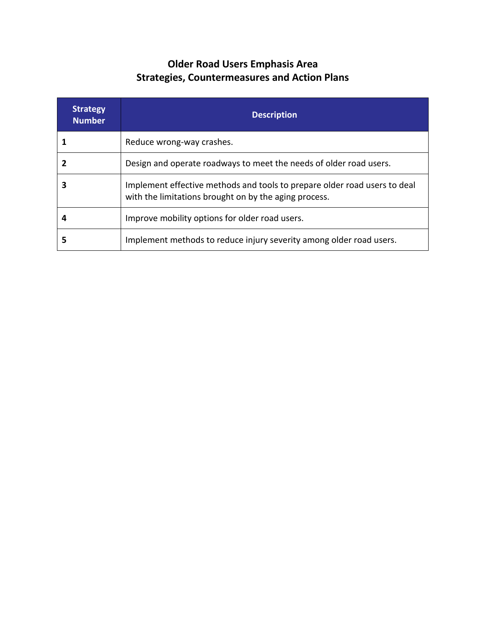### **Older Road Users Emphasis Area Strategies, Countermeasures and Action Plans**

| <b>Strategy</b><br><b>Number</b> | <b>Description</b>                                                                                                                 |
|----------------------------------|------------------------------------------------------------------------------------------------------------------------------------|
|                                  | Reduce wrong-way crashes.                                                                                                          |
|                                  | Design and operate roadways to meet the needs of older road users.                                                                 |
|                                  | Implement effective methods and tools to prepare older road users to deal<br>with the limitations brought on by the aging process. |
|                                  | Improve mobility options for older road users.                                                                                     |
| 5                                | Implement methods to reduce injury severity among older road users.                                                                |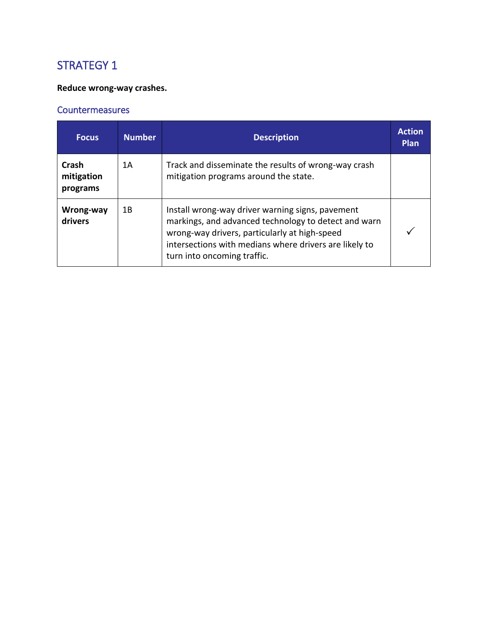### **Reduce wrong-way crashes.**

| <b>Focus</b>                    | <b>Number</b> | <b>Description</b>                                                                                                                                                                                                                                 | <b>Action</b><br><b>Plan</b> |
|---------------------------------|---------------|----------------------------------------------------------------------------------------------------------------------------------------------------------------------------------------------------------------------------------------------------|------------------------------|
| Crash<br>mitigation<br>programs | 1A            | Track and disseminate the results of wrong-way crash<br>mitigation programs around the state.                                                                                                                                                      |                              |
| Wrong-way<br>drivers            | 1 B           | Install wrong-way driver warning signs, pavement<br>markings, and advanced technology to detect and warn<br>wrong-way drivers, particularly at high-speed<br>intersections with medians where drivers are likely to<br>turn into oncoming traffic. |                              |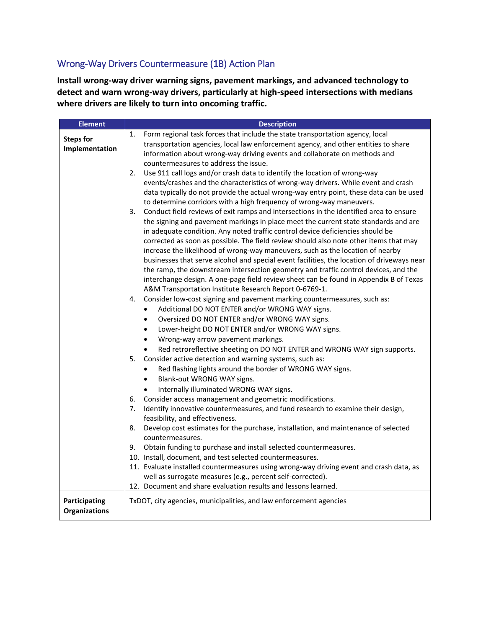#### Wrong-Way Drivers Countermeasure (1B) Action Plan

**Install wrong-way driver warning signs, pavement markings, and advanced technology to detect and warn wrong-way drivers, particularly at high-speed intersections with medians where drivers are likely to turn into oncoming traffic.**

| <b>Element</b>   | <b>Description</b>                                                                                                                                                   |
|------------------|----------------------------------------------------------------------------------------------------------------------------------------------------------------------|
| <b>Steps for</b> | Form regional task forces that include the state transportation agency, local<br>1.                                                                                  |
| Implementation   | transportation agencies, local law enforcement agency, and other entities to share                                                                                   |
|                  | information about wrong-way driving events and collaborate on methods and                                                                                            |
|                  | countermeasures to address the issue.                                                                                                                                |
|                  | Use 911 call logs and/or crash data to identify the location of wrong-way<br>2.                                                                                      |
|                  | events/crashes and the characteristics of wrong-way drivers. While event and crash                                                                                   |
|                  | data typically do not provide the actual wrong-way entry point, these data can be used                                                                               |
|                  | to determine corridors with a high frequency of wrong-way maneuvers.<br>Conduct field reviews of exit ramps and intersections in the identified area to ensure<br>3. |
|                  | the signing and pavement markings in place meet the current state standards and are                                                                                  |
|                  | in adequate condition. Any noted traffic control device deficiencies should be                                                                                       |
|                  | corrected as soon as possible. The field review should also note other items that may                                                                                |
|                  | increase the likelihood of wrong-way maneuvers, such as the location of nearby                                                                                       |
|                  | businesses that serve alcohol and special event facilities, the location of driveways near                                                                           |
|                  | the ramp, the downstream intersection geometry and traffic control devices, and the                                                                                  |
|                  | interchange design. A one-page field review sheet can be found in Appendix B of Texas                                                                                |
|                  | A&M Transportation Institute Research Report 0-6769-1.                                                                                                               |
|                  | Consider low-cost signing and pavement marking countermeasures, such as:<br>4.                                                                                       |
|                  | Additional DO NOT ENTER and/or WRONG WAY signs.<br>$\bullet$                                                                                                         |
|                  | Oversized DO NOT ENTER and/or WRONG WAY signs.<br>$\bullet$                                                                                                          |
|                  | Lower-height DO NOT ENTER and/or WRONG WAY signs.<br>$\bullet$                                                                                                       |
|                  | Wrong-way arrow pavement markings.<br>$\bullet$                                                                                                                      |
|                  | Red retroreflective sheeting on DO NOT ENTER and WRONG WAY sign supports.<br>$\bullet$                                                                               |
|                  | 5.<br>Consider active detection and warning systems, such as:                                                                                                        |
|                  | Red flashing lights around the border of WRONG WAY signs.<br>$\bullet$                                                                                               |
|                  | Blank-out WRONG WAY signs.<br>$\bullet$                                                                                                                              |
|                  | Internally illuminated WRONG WAY signs.<br>$\bullet$<br>Consider access management and geometric modifications.<br>6.                                                |
|                  | Identify innovative countermeasures, and fund research to examine their design,<br>7.                                                                                |
|                  | feasibility, and effectiveness.                                                                                                                                      |
|                  | Develop cost estimates for the purchase, installation, and maintenance of selected<br>8.                                                                             |
|                  | countermeasures.                                                                                                                                                     |
|                  | Obtain funding to purchase and install selected countermeasures.<br>9.                                                                                               |
|                  | 10. Install, document, and test selected countermeasures.                                                                                                            |
|                  | 11. Evaluate installed countermeasures using wrong-way driving event and crash data, as                                                                              |
|                  | well as surrogate measures (e.g., percent self-corrected).                                                                                                           |
|                  | 12. Document and share evaluation results and lessons learned.                                                                                                       |
| Participating    |                                                                                                                                                                      |
|                  | TxDOT, city agencies, municipalities, and law enforcement agencies                                                                                                   |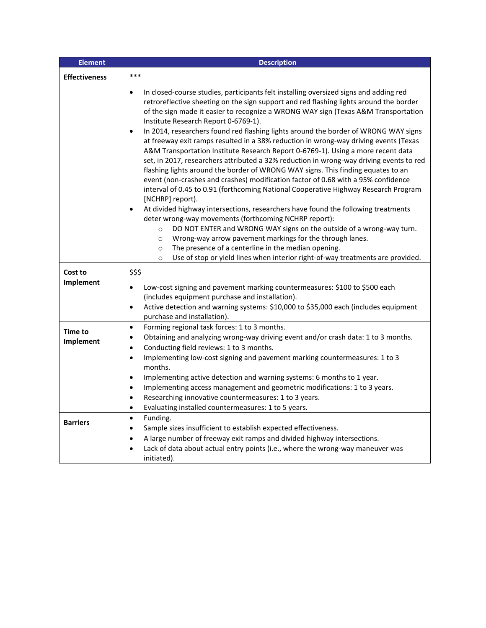| <b>Element</b>       | <b>Description</b>                                                                                                                                                                                                                                                                                                                                                                                                                                                                                                                                                                                                                                                                                                                                                                                                                                                                                                                                                                                                                                                                                                                                                                                                                                                                                                                                                                                                                                                            |
|----------------------|-------------------------------------------------------------------------------------------------------------------------------------------------------------------------------------------------------------------------------------------------------------------------------------------------------------------------------------------------------------------------------------------------------------------------------------------------------------------------------------------------------------------------------------------------------------------------------------------------------------------------------------------------------------------------------------------------------------------------------------------------------------------------------------------------------------------------------------------------------------------------------------------------------------------------------------------------------------------------------------------------------------------------------------------------------------------------------------------------------------------------------------------------------------------------------------------------------------------------------------------------------------------------------------------------------------------------------------------------------------------------------------------------------------------------------------------------------------------------------|
| <b>Effectiveness</b> | ***                                                                                                                                                                                                                                                                                                                                                                                                                                                                                                                                                                                                                                                                                                                                                                                                                                                                                                                                                                                                                                                                                                                                                                                                                                                                                                                                                                                                                                                                           |
|                      | In closed-course studies, participants felt installing oversized signs and adding red<br>$\bullet$<br>retroreflective sheeting on the sign support and red flashing lights around the border<br>of the sign made it easier to recognize a WRONG WAY sign (Texas A&M Transportation<br>Institute Research Report 0-6769-1).<br>In 2014, researchers found red flashing lights around the border of WRONG WAY signs<br>$\bullet$<br>at freeway exit ramps resulted in a 38% reduction in wrong-way driving events (Texas<br>A&M Transportation Institute Research Report 0-6769-1). Using a more recent data<br>set, in 2017, researchers attributed a 32% reduction in wrong-way driving events to red<br>flashing lights around the border of WRONG WAY signs. This finding equates to an<br>event (non-crashes and crashes) modification factor of 0.68 with a 95% confidence<br>interval of 0.45 to 0.91 (forthcoming National Cooperative Highway Research Program<br>[NCHRP] report).<br>At divided highway intersections, researchers have found the following treatments<br>$\bullet$<br>deter wrong-way movements (forthcoming NCHRP report):<br>DO NOT ENTER and WRONG WAY signs on the outside of a wrong-way turn.<br>$\circ$<br>Wrong-way arrow pavement markings for the through lanes.<br>$\circ$<br>The presence of a centerline in the median opening.<br>$\circ$<br>Use of stop or yield lines when interior right-of-way treatments are provided.<br>$\circ$ |
| Cost to<br>Implement | \$\$\$<br>Low-cost signing and pavement marking countermeasures: \$100 to \$500 each<br>$\bullet$<br>(includes equipment purchase and installation).<br>Active detection and warning systems: \$10,000 to \$35,000 each (includes equipment<br>$\bullet$<br>purchase and installation).                                                                                                                                                                                                                                                                                                                                                                                                                                                                                                                                                                                                                                                                                                                                                                                                                                                                                                                                                                                                                                                                                                                                                                                       |
| Time to<br>Implement | Forming regional task forces: 1 to 3 months.<br>$\bullet$<br>Obtaining and analyzing wrong-way driving event and/or crash data: 1 to 3 months.<br>$\bullet$<br>Conducting field reviews: 1 to 3 months.<br>$\bullet$<br>Implementing low-cost signing and pavement marking countermeasures: 1 to 3<br>$\bullet$<br>months.<br>Implementing active detection and warning systems: 6 months to 1 year.<br>$\bullet$<br>Implementing access management and geometric modifications: 1 to 3 years.<br>$\bullet$<br>Researching innovative countermeasures: 1 to 3 years.<br>$\bullet$<br>Evaluating installed countermeasures: 1 to 5 years.<br>$\bullet$                                                                                                                                                                                                                                                                                                                                                                                                                                                                                                                                                                                                                                                                                                                                                                                                                         |
| <b>Barriers</b>      | Funding.<br>$\bullet$<br>Sample sizes insufficient to establish expected effectiveness.<br>$\bullet$<br>A large number of freeway exit ramps and divided highway intersections.<br>$\bullet$<br>Lack of data about actual entry points (i.e., where the wrong-way maneuver was<br>$\bullet$<br>initiated).                                                                                                                                                                                                                                                                                                                                                                                                                                                                                                                                                                                                                                                                                                                                                                                                                                                                                                                                                                                                                                                                                                                                                                    |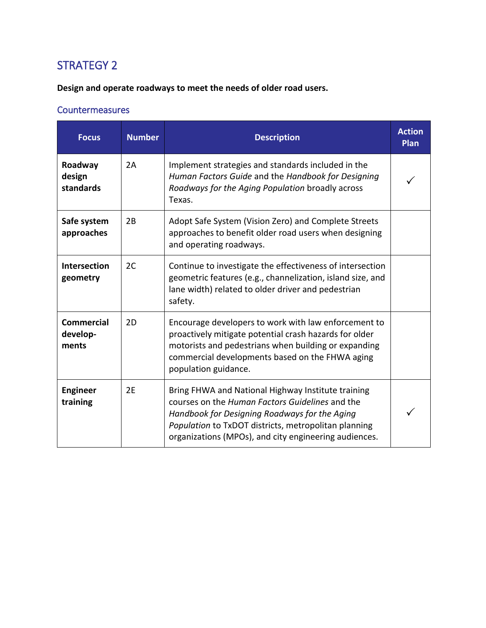**Design and operate roadways to meet the needs of older road users.**

| <b>Focus</b>                           | <b>Number</b> | <b>Description</b>                                                                                                                                                                                                                                                      | <b>Action</b><br><b>Plan</b> |
|----------------------------------------|---------------|-------------------------------------------------------------------------------------------------------------------------------------------------------------------------------------------------------------------------------------------------------------------------|------------------------------|
| Roadway<br>design<br>standards         | 2A            | Implement strategies and standards included in the<br>Human Factors Guide and the Handbook for Designing<br>Roadways for the Aging Population broadly across<br>Texas.                                                                                                  |                              |
| Safe system<br>approaches              | 2B            | Adopt Safe System (Vision Zero) and Complete Streets<br>approaches to benefit older road users when designing<br>and operating roadways.                                                                                                                                |                              |
| <b>Intersection</b><br>geometry        | 2C            | Continue to investigate the effectiveness of intersection<br>geometric features (e.g., channelization, island size, and<br>lane width) related to older driver and pedestrian<br>safety.                                                                                |                              |
| <b>Commercial</b><br>develop-<br>ments | 2D            | Encourage developers to work with law enforcement to<br>proactively mitigate potential crash hazards for older<br>motorists and pedestrians when building or expanding<br>commercial developments based on the FHWA aging<br>population guidance.                       |                              |
| <b>Engineer</b><br>training            | 2E            | Bring FHWA and National Highway Institute training<br>courses on the Human Factors Guidelines and the<br>Handbook for Designing Roadways for the Aging<br>Population to TxDOT districts, metropolitan planning<br>organizations (MPOs), and city engineering audiences. |                              |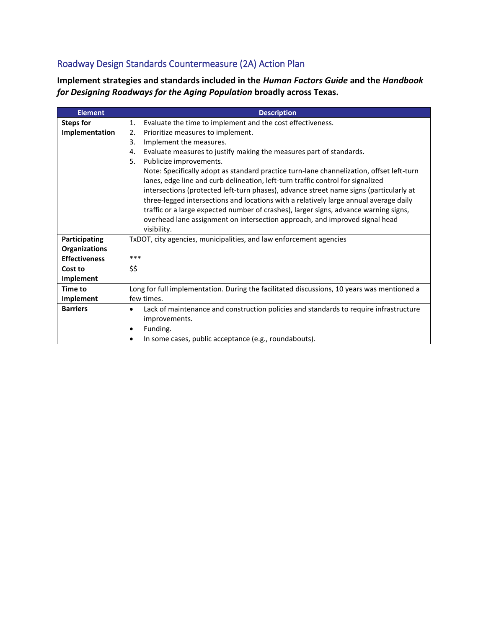### Roadway Design Standards Countermeasure (2A) Action Plan

**Implement strategies and standards included in the** *Human Factors Guide* **and the** *Handbook for Designing Roadways for the Aging Population* **broadly across Texas.**

| <b>Element</b>       | <b>Description</b>                                                                                 |
|----------------------|----------------------------------------------------------------------------------------------------|
| <b>Steps for</b>     | Evaluate the time to implement and the cost effectiveness.<br>1.                                   |
| Implementation       | Prioritize measures to implement.<br>2.                                                            |
|                      | Implement the measures.<br>3.                                                                      |
|                      | Evaluate measures to justify making the measures part of standards.<br>4.                          |
|                      | Publicize improvements.<br>5.                                                                      |
|                      | Note: Specifically adopt as standard practice turn-lane channelization, offset left-turn           |
|                      | lanes, edge line and curb delineation, left-turn traffic control for signalized                    |
|                      | intersections (protected left-turn phases), advance street name signs (particularly at             |
|                      | three-legged intersections and locations with a relatively large annual average daily              |
|                      | traffic or a large expected number of crashes), larger signs, advance warning signs,               |
|                      | overhead lane assignment on intersection approach, and improved signal head                        |
|                      | visibility.                                                                                        |
| Participating        | TxDOT, city agencies, municipalities, and law enforcement agencies                                 |
| <b>Organizations</b> |                                                                                                    |
| <b>Effectiveness</b> | ***                                                                                                |
| Cost to              | \$\$                                                                                               |
| <b>Implement</b>     |                                                                                                    |
| Time to              | Long for full implementation. During the facilitated discussions, 10 years was mentioned a         |
| Implement            | few times.                                                                                         |
| <b>Barriers</b>      | Lack of maintenance and construction policies and standards to require infrastructure<br>$\bullet$ |
|                      | improvements.                                                                                      |
|                      | Funding.                                                                                           |
|                      | In some cases, public acceptance (e.g., roundabouts).                                              |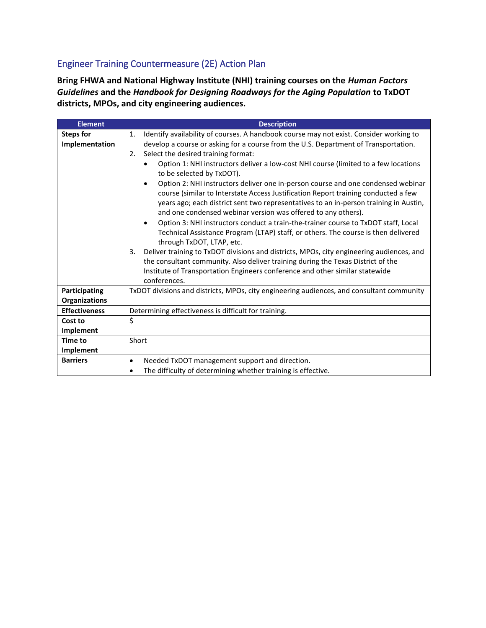#### Engineer Training Countermeasure (2E) Action Plan

**Bring FHWA and National Highway Institute (NHI) training courses on the** *Human Factors Guidelines* **and the** *Handbook for Designing Roadways for the Aging Population* **to TxDOT districts, MPOs, and city engineering audiences.**

| <b>Element</b>                        | <b>Description</b>                                                                                                                                                                                                                                                                                                                                                                                                                                                                                                                                                                                                                                                                                                                                                                                                                                                                                                                                                                                                                                                                                                                                                                                                            |
|---------------------------------------|-------------------------------------------------------------------------------------------------------------------------------------------------------------------------------------------------------------------------------------------------------------------------------------------------------------------------------------------------------------------------------------------------------------------------------------------------------------------------------------------------------------------------------------------------------------------------------------------------------------------------------------------------------------------------------------------------------------------------------------------------------------------------------------------------------------------------------------------------------------------------------------------------------------------------------------------------------------------------------------------------------------------------------------------------------------------------------------------------------------------------------------------------------------------------------------------------------------------------------|
| <b>Steps for</b><br>Implementation    | Identify availability of courses. A handbook course may not exist. Consider working to<br>$\mathbf{1}$ .<br>develop a course or asking for a course from the U.S. Department of Transportation.<br>Select the desired training format:<br>2.<br>Option 1: NHI instructors deliver a low-cost NHI course (limited to a few locations<br>to be selected by TxDOT).<br>Option 2: NHI instructors deliver one in-person course and one condensed webinar<br>$\bullet$<br>course (similar to Interstate Access Justification Report training conducted a few<br>years ago; each district sent two representatives to an in-person training in Austin,<br>and one condensed webinar version was offered to any others).<br>Option 3: NHI instructors conduct a train-the-trainer course to TxDOT staff, Local<br>$\bullet$<br>Technical Assistance Program (LTAP) staff, or others. The course is then delivered<br>through TxDOT, LTAP, etc.<br>Deliver training to TxDOT divisions and districts, MPOs, city engineering audiences, and<br>3.<br>the consultant community. Also deliver training during the Texas District of the<br>Institute of Transportation Engineers conference and other similar statewide<br>conferences. |
| Participating<br><b>Organizations</b> | TxDOT divisions and districts, MPOs, city engineering audiences, and consultant community                                                                                                                                                                                                                                                                                                                                                                                                                                                                                                                                                                                                                                                                                                                                                                                                                                                                                                                                                                                                                                                                                                                                     |
| <b>Effectiveness</b>                  | Determining effectiveness is difficult for training.                                                                                                                                                                                                                                                                                                                                                                                                                                                                                                                                                                                                                                                                                                                                                                                                                                                                                                                                                                                                                                                                                                                                                                          |
| Cost to                               | \$                                                                                                                                                                                                                                                                                                                                                                                                                                                                                                                                                                                                                                                                                                                                                                                                                                                                                                                                                                                                                                                                                                                                                                                                                            |
| <b>Implement</b>                      |                                                                                                                                                                                                                                                                                                                                                                                                                                                                                                                                                                                                                                                                                                                                                                                                                                                                                                                                                                                                                                                                                                                                                                                                                               |
| <b>Time to</b>                        | Short                                                                                                                                                                                                                                                                                                                                                                                                                                                                                                                                                                                                                                                                                                                                                                                                                                                                                                                                                                                                                                                                                                                                                                                                                         |
| Implement                             |                                                                                                                                                                                                                                                                                                                                                                                                                                                                                                                                                                                                                                                                                                                                                                                                                                                                                                                                                                                                                                                                                                                                                                                                                               |
| <b>Barriers</b>                       | Needed TxDOT management support and direction.<br>٠                                                                                                                                                                                                                                                                                                                                                                                                                                                                                                                                                                                                                                                                                                                                                                                                                                                                                                                                                                                                                                                                                                                                                                           |
|                                       | The difficulty of determining whether training is effective.                                                                                                                                                                                                                                                                                                                                                                                                                                                                                                                                                                                                                                                                                                                                                                                                                                                                                                                                                                                                                                                                                                                                                                  |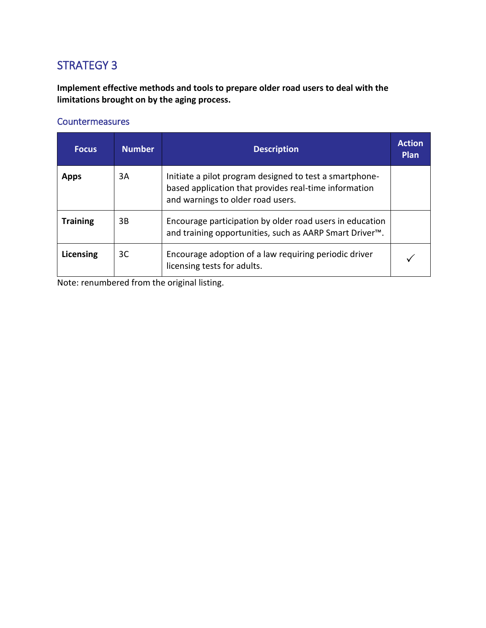**Implement effective methods and tools to prepare older road users to deal with the limitations brought on by the aging process.**

#### **Countermeasures**

| <b>Focus</b>    | <b>Number</b> | <b>Description</b>                                                                                                                                    | <b>Action</b><br>Plan |
|-----------------|---------------|-------------------------------------------------------------------------------------------------------------------------------------------------------|-----------------------|
| <b>Apps</b>     | 3A            | Initiate a pilot program designed to test a smartphone-<br>based application that provides real-time information<br>and warnings to older road users. |                       |
| <b>Training</b> | 3B            | Encourage participation by older road users in education<br>and training opportunities, such as AARP Smart Driver <sup>™</sup> .                      |                       |
| Licensing       | 3C            | Encourage adoption of a law requiring periodic driver<br>licensing tests for adults.                                                                  |                       |

Note: renumbered from the original listing.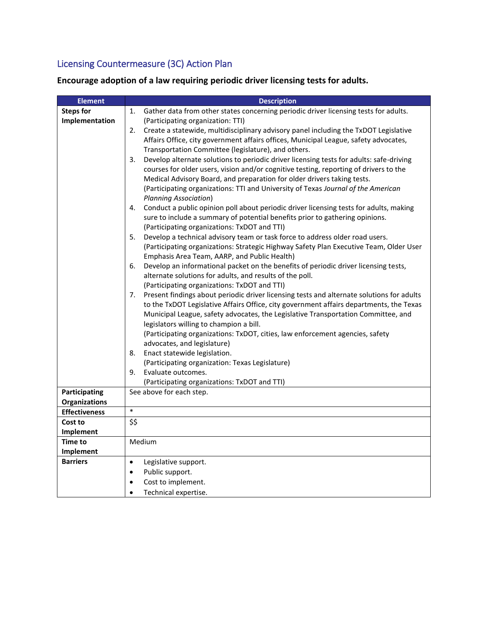### Licensing Countermeasure (3C) Action Plan

**Encourage adoption of a law requiring periodic driver licensing tests for adults.**

| <b>Element</b>       | <b>Description</b>                                                                                                                              |
|----------------------|-------------------------------------------------------------------------------------------------------------------------------------------------|
| <b>Steps for</b>     | Gather data from other states concerning periodic driver licensing tests for adults.<br>1.                                                      |
| Implementation       | (Participating organization: TTI)                                                                                                               |
|                      | Create a statewide, multidisciplinary advisory panel including the TxDOT Legislative<br>2.                                                      |
|                      | Affairs Office, city government affairs offices, Municipal League, safety advocates,                                                            |
|                      | Transportation Committee (legislature), and others.                                                                                             |
|                      | Develop alternate solutions to periodic driver licensing tests for adults: safe-driving<br>3.                                                   |
|                      | courses for older users, vision and/or cognitive testing, reporting of drivers to the                                                           |
|                      | Medical Advisory Board, and preparation for older drivers taking tests.                                                                         |
|                      | (Participating organizations: TTI and University of Texas Journal of the American                                                               |
|                      | <b>Planning Association)</b>                                                                                                                    |
|                      | Conduct a public opinion poll about periodic driver licensing tests for adults, making<br>4.                                                    |
|                      | sure to include a summary of potential benefits prior to gathering opinions.                                                                    |
|                      | (Participating organizations: TxDOT and TTI)                                                                                                    |
|                      | Develop a technical advisory team or task force to address older road users.<br>5.                                                              |
|                      | (Participating organizations: Strategic Highway Safety Plan Executive Team, Older User                                                          |
|                      | Emphasis Area Team, AARP, and Public Health)                                                                                                    |
|                      | Develop an informational packet on the benefits of periodic driver licensing tests,<br>6.                                                       |
|                      | alternate solutions for adults, and results of the poll.                                                                                        |
|                      | (Participating organizations: TxDOT and TTI)<br>Present findings about periodic driver licensing tests and alternate solutions for adults<br>7. |
|                      | to the TxDOT Legislative Affairs Office, city government affairs departments, the Texas                                                         |
|                      | Municipal League, safety advocates, the Legislative Transportation Committee, and                                                               |
|                      | legislators willing to champion a bill.                                                                                                         |
|                      | (Participating organizations: TxDOT, cities, law enforcement agencies, safety                                                                   |
|                      | advocates, and legislature)                                                                                                                     |
|                      | Enact statewide legislation.<br>8.                                                                                                              |
|                      | (Participating organization: Texas Legislature)                                                                                                 |
|                      | 9.<br>Evaluate outcomes.                                                                                                                        |
|                      | (Participating organizations: TxDOT and TTI)                                                                                                    |
| Participating        | See above for each step.                                                                                                                        |
| Organizations        |                                                                                                                                                 |
| <b>Effectiveness</b> | $\ast$                                                                                                                                          |
| Cost to              | \$\$                                                                                                                                            |
| Implement            |                                                                                                                                                 |
| Time to              | Medium                                                                                                                                          |
| Implement            |                                                                                                                                                 |
| <b>Barriers</b>      | Legislative support.<br>$\bullet$                                                                                                               |
|                      | Public support.<br>$\bullet$                                                                                                                    |
|                      | Cost to implement.                                                                                                                              |
|                      | Technical expertise.                                                                                                                            |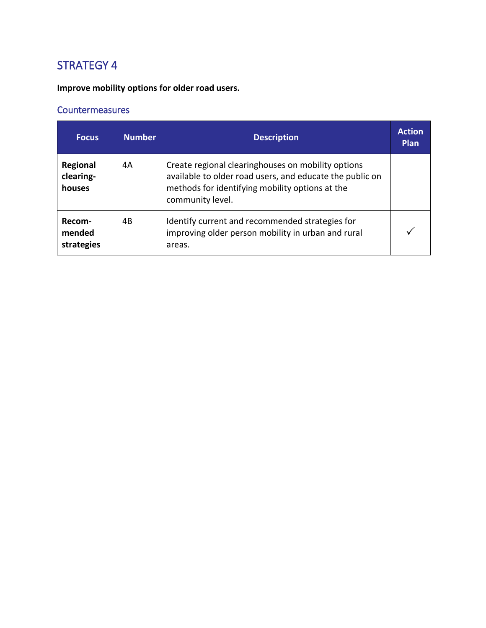**Improve mobility options for older road users.**

| <b>Focus</b>                    | <b>Number</b> | <b>Description</b>                                                                                                                                                                    | <b>Action</b><br><b>Plan</b> |
|---------------------------------|---------------|---------------------------------------------------------------------------------------------------------------------------------------------------------------------------------------|------------------------------|
| Regional<br>clearing-<br>houses | 4А            | Create regional clearinghouses on mobility options<br>available to older road users, and educate the public on<br>methods for identifying mobility options at the<br>community level. |                              |
| Recom-<br>mended<br>strategies  | 4B            | Identify current and recommended strategies for<br>improving older person mobility in urban and rural<br>areas.                                                                       |                              |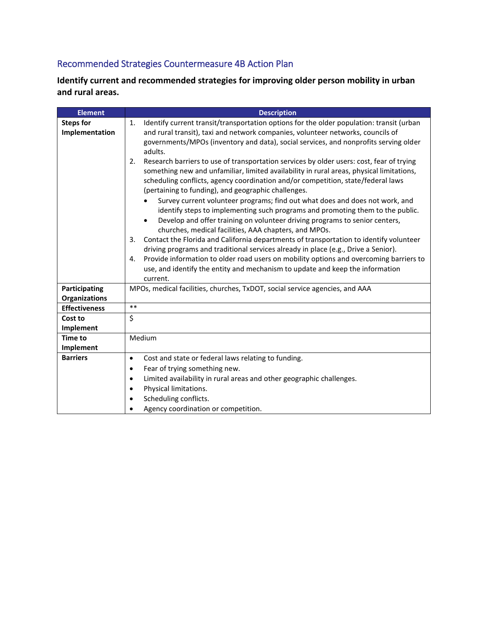### Recommended Strategies Countermeasure 4B Action Plan

**Identify current and recommended strategies for improving older person mobility in urban and rural areas.**

| <b>Element</b>                        | <b>Description</b>                                                                                                                                                                                                                                                                                                                                                                                                                                                                                                                                                                                                                                                                                                                                                                                                                                                                                                                                   |
|---------------------------------------|------------------------------------------------------------------------------------------------------------------------------------------------------------------------------------------------------------------------------------------------------------------------------------------------------------------------------------------------------------------------------------------------------------------------------------------------------------------------------------------------------------------------------------------------------------------------------------------------------------------------------------------------------------------------------------------------------------------------------------------------------------------------------------------------------------------------------------------------------------------------------------------------------------------------------------------------------|
| <b>Steps for</b><br>Implementation    | Identify current transit/transportation options for the older population: transit (urban<br>1.<br>and rural transit), taxi and network companies, volunteer networks, councils of<br>governments/MPOs (inventory and data), social services, and nonprofits serving older<br>adults.<br>Research barriers to use of transportation services by older users: cost, fear of trying<br>2.<br>something new and unfamiliar, limited availability in rural areas, physical limitations,<br>scheduling conflicts, agency coordination and/or competition, state/federal laws<br>(pertaining to funding), and geographic challenges.<br>Survey current volunteer programs; find out what does and does not work, and<br>identify steps to implementing such programs and promoting them to the public.<br>Develop and offer training on volunteer driving programs to senior centers,<br>$\bullet$<br>churches, medical facilities, AAA chapters, and MPOs. |
|                                       | Contact the Florida and California departments of transportation to identify volunteer<br>3.<br>driving programs and traditional services already in place (e.g., Drive a Senior).<br>Provide information to older road users on mobility options and overcoming barriers to<br>4.<br>use, and identify the entity and mechanism to update and keep the information<br>current.                                                                                                                                                                                                                                                                                                                                                                                                                                                                                                                                                                      |
| Participating<br><b>Organizations</b> | MPOs, medical facilities, churches, TxDOT, social service agencies, and AAA                                                                                                                                                                                                                                                                                                                                                                                                                                                                                                                                                                                                                                                                                                                                                                                                                                                                          |
| <b>Effectiveness</b>                  | $***$                                                                                                                                                                                                                                                                                                                                                                                                                                                                                                                                                                                                                                                                                                                                                                                                                                                                                                                                                |
| Cost to<br>Implement                  | \$                                                                                                                                                                                                                                                                                                                                                                                                                                                                                                                                                                                                                                                                                                                                                                                                                                                                                                                                                   |
| <b>Time to</b><br>Implement           | Medium                                                                                                                                                                                                                                                                                                                                                                                                                                                                                                                                                                                                                                                                                                                                                                                                                                                                                                                                               |
| <b>Barriers</b>                       | Cost and state or federal laws relating to funding.<br>$\bullet$<br>Fear of trying something new.<br>$\bullet$<br>Limited availability in rural areas and other geographic challenges.<br>Physical limitations.<br>Scheduling conflicts.<br>Agency coordination or competition.                                                                                                                                                                                                                                                                                                                                                                                                                                                                                                                                                                                                                                                                      |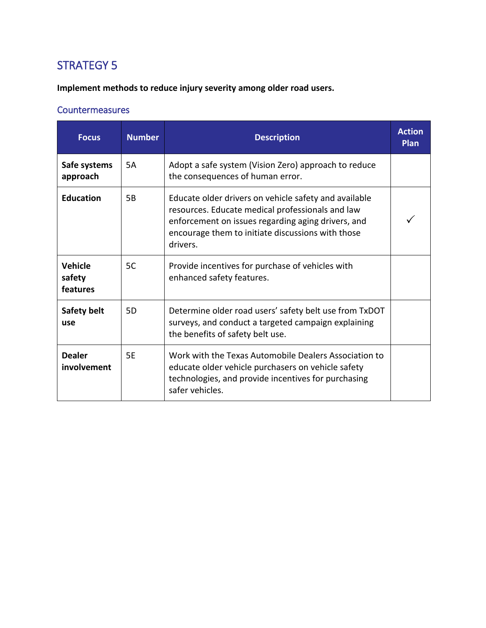**Implement methods to reduce injury severity among older road users.**

| <b>Focus</b>                  | <b>Number</b> | <b>Description</b>                                                                                                                                                                                                               | <b>Action</b><br>Plan |
|-------------------------------|---------------|----------------------------------------------------------------------------------------------------------------------------------------------------------------------------------------------------------------------------------|-----------------------|
| Safe systems<br>approach      | 5A            | Adopt a safe system (Vision Zero) approach to reduce<br>the consequences of human error.                                                                                                                                         |                       |
| <b>Education</b>              | 5B            | Educate older drivers on vehicle safety and available<br>resources. Educate medical professionals and law<br>enforcement on issues regarding aging drivers, and<br>encourage them to initiate discussions with those<br>drivers. |                       |
| Vehicle<br>safety<br>features | 5C            | Provide incentives for purchase of vehicles with<br>enhanced safety features.                                                                                                                                                    |                       |
| Safety belt<br>use            | 5D            | Determine older road users' safety belt use from TxDOT<br>surveys, and conduct a targeted campaign explaining<br>the benefits of safety belt use.                                                                                |                       |
| <b>Dealer</b><br>involvement  | 5E            | Work with the Texas Automobile Dealers Association to<br>educate older vehicle purchasers on vehicle safety<br>technologies, and provide incentives for purchasing<br>safer vehicles.                                            |                       |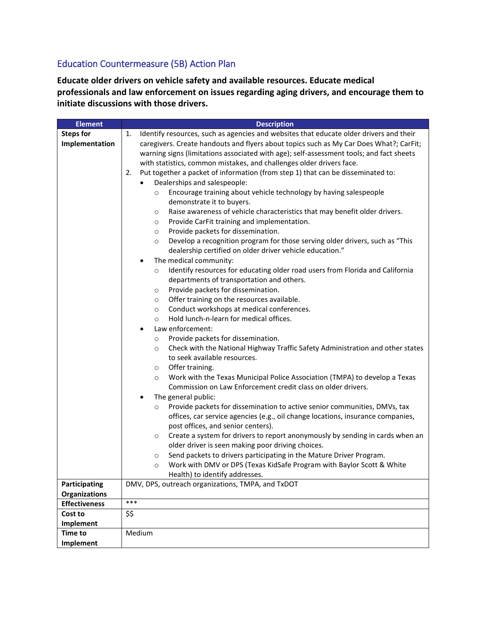#### Education Countermeasure (5B) Action Plan

**Educate older drivers on vehicle safety and available resources. Educate medical professionals and law enforcement on issues regarding aging drivers, and encourage them to initiate discussions with those drivers.**

| <b>Element</b>       | <b>Description</b>                                                                           |
|----------------------|----------------------------------------------------------------------------------------------|
| <b>Steps for</b>     | Identify resources, such as agencies and websites that educate older drivers and their<br>1. |
| Implementation       | caregivers. Create handouts and flyers about topics such as My Car Does What?; CarFit;       |
|                      | warning signs (limitations associated with age); self-assessment tools; and fact sheets      |
|                      | with statistics, common mistakes, and challenges older drivers face.                         |
|                      | Put together a packet of information (from step 1) that can be disseminated to:<br>2.        |
|                      | Dealerships and salespeople:                                                                 |
|                      | Encourage training about vehicle technology by having salespeople<br>$\circ$                 |
|                      | demonstrate it to buyers.                                                                    |
|                      | Raise awareness of vehicle characteristics that may benefit older drivers.<br>$\circ$        |
|                      | Provide CarFit training and implementation.<br>$\circ$                                       |
|                      | Provide packets for dissemination.<br>$\circ$                                                |
|                      | Develop a recognition program for those serving older drivers, such as "This<br>$\circ$      |
|                      | dealership certified on older driver vehicle education."                                     |
|                      | The medical community:<br>$\bullet$                                                          |
|                      | Identify resources for educating older road users from Florida and California<br>$\circ$     |
|                      | departments of transportation and others.                                                    |
|                      | Provide packets for dissemination.<br>$\circ$                                                |
|                      | Offer training on the resources available.<br>$\circ$                                        |
|                      | Conduct workshops at medical conferences.<br>$\circ$                                         |
|                      | Hold lunch-n-learn for medical offices.<br>$\circ$                                           |
|                      | Law enforcement:                                                                             |
|                      | Provide packets for dissemination.<br>$\circ$                                                |
|                      | Check with the National Highway Traffic Safety Administration and other states<br>$\circ$    |
|                      | to seek available resources.                                                                 |
|                      | Offer training.<br>$\circ$                                                                   |
|                      | Work with the Texas Municipal Police Association (TMPA) to develop a Texas<br>$\circ$        |
|                      | Commission on Law Enforcement credit class on older drivers.                                 |
|                      | The general public:<br>٠                                                                     |
|                      | Provide packets for dissemination to active senior communities, DMVs, tax<br>$\circ$         |
|                      | offices, car service agencies (e.g., oil change locations, insurance companies,              |
|                      | post offices, and senior centers).                                                           |
|                      | Create a system for drivers to report anonymously by sending in cards when an<br>$\circ$     |
|                      | older driver is seen making poor driving choices.                                            |
|                      | Send packets to drivers participating in the Mature Driver Program.<br>$\circ$               |
|                      | Work with DMV or DPS (Texas KidSafe Program with Baylor Scott & White<br>$\circ$             |
|                      | Health) to identify addresses.                                                               |
| Participating        | DMV, DPS, outreach organizations, TMPA, and TxDOT                                            |
| <b>Organizations</b> |                                                                                              |
| <b>Effectiveness</b> | ***                                                                                          |
| Cost to              | \$\$                                                                                         |
| Implement            |                                                                                              |
| <b>Time to</b>       | Medium                                                                                       |
| Implement            |                                                                                              |